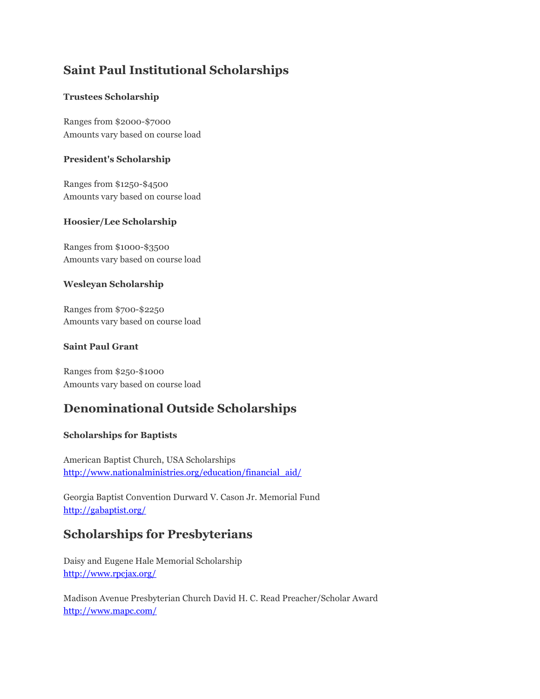# **Saint Paul Institutional Scholarships**

### **Trustees Scholarship**

Ranges from \$2000-\$7000 Amounts vary based on course load

### **President's Scholarship**

Ranges from \$1250-\$4500 Amounts vary based on course load

### **Hoosier/Lee Scholarship**

Ranges from \$1000-\$3500 Amounts vary based on course load

### **Wesleyan Scholarship**

Ranges from \$700-\$2250 Amounts vary based on course load

### **Saint Paul Grant**

Ranges from \$250-\$1000 Amounts vary based on course load

## **Denominational Outside Scholarships**

### **Scholarships for Baptists**

American Baptist Church, USA Scholarships [http://www.nationalministries.org/education/financial\\_aid/](http://www.nationalministries.org/education/financial_aid/)

Georgia Baptist Convention Durward V. Cason Jr. Memorial Fund <http://gabaptist.org/>

### **Scholarships for Presbyterians**

Daisy and Eugene Hale Memorial Scholarship <http://www.rpcjax.org/>

Madison Avenue Presbyterian Church David H. C. Read Preacher/Scholar Award <http://www.mapc.com/>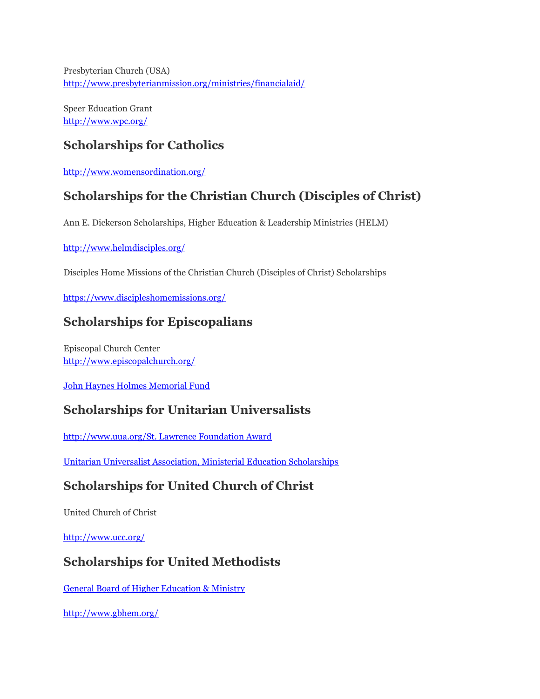Presbyterian Church (USA) <http://www.presbyterianmission.org/ministries/financialaid/>

Speer Education Grant <http://www.wpc.org/>

## **Scholarships for Catholics**

<http://www.womensordination.org/>

## **Scholarships for the Christian Church (Disciples of Christ)**

Ann E. Dickerson Scholarships, Higher Education & Leadership Ministries (HELM)

### <http://www.helmdisciples.org/>

Disciples Home Missions of the Christian Church (Disciples of Christ) Scholarships

<https://www.discipleshomemissions.org/>

## **Scholarships for Episcopalians**

Episcopal Church Center <http://www.episcopalchurch.org/>

[John Haynes Holmes Memorial Fund](http://www.bu.edu/sth/academics/financial-aid/scholarships/john-haynes-holmes/)

### **Scholarships for Unitarian Universalists**

[http://www.uua.org/St. Lawrence Foundation Award](http://www.uua.org/St.%20Lawrence%20Foundation%20Award)

[Unitarian Universalist Association, Ministerial Education Scholarships](http://www.bu.edu/sth/academics/financial-aid/scholarships/uu-assoc-ministerial-education/)

## **Scholarships for United Church of Christ**

United Church of Christ

<http://www.ucc.org/>

## **Scholarships for United Methodists**

[General Board of Higher Education & Ministry](http://www.gbhem.org/)

<http://www.gbhem.org/>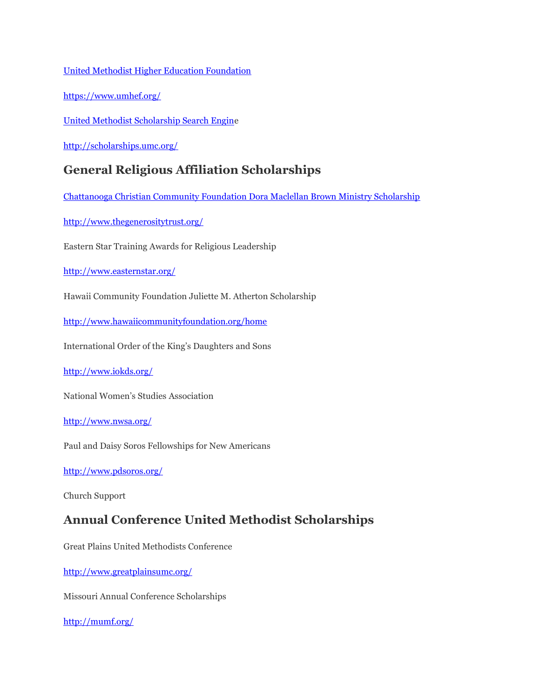[United Methodist Higher Education Foundation](http://www.umhef.org/)

<https://www.umhef.org/>

[United Methodist Scholarship Search Engine](http://scholarships.umc.org/)

<http://scholarships.umc.org/>

## **General Religious Affiliation Scholarships**

[Chattanooga Christian Community Foundation Dora Maclellan Brown Ministry Scholarship](http://www.bu.edu/sth/academics/financial-aid/scholarships/chattanooga-maclellan-brown/)

<http://www.thegenerositytrust.org/>

Eastern Star Training Awards for Religious Leadership

<http://www.easternstar.org/>

Hawaii Community Foundation Juliette M. Atherton Scholarship

<http://www.hawaiicommunityfoundation.org/home>

International Order of the King's Daughters and Sons

<http://www.iokds.org/>

National Women's Studies Association

<http://www.nwsa.org/>

Paul and Daisy Soros Fellowships for New Americans

<http://www.pdsoros.org/>

Church Support

### **Annual Conference United Methodist Scholarships**

Great Plains United Methodists Conference

<http://www.greatplainsumc.org/>

Missouri Annual Conference Scholarships

<http://mumf.org/>